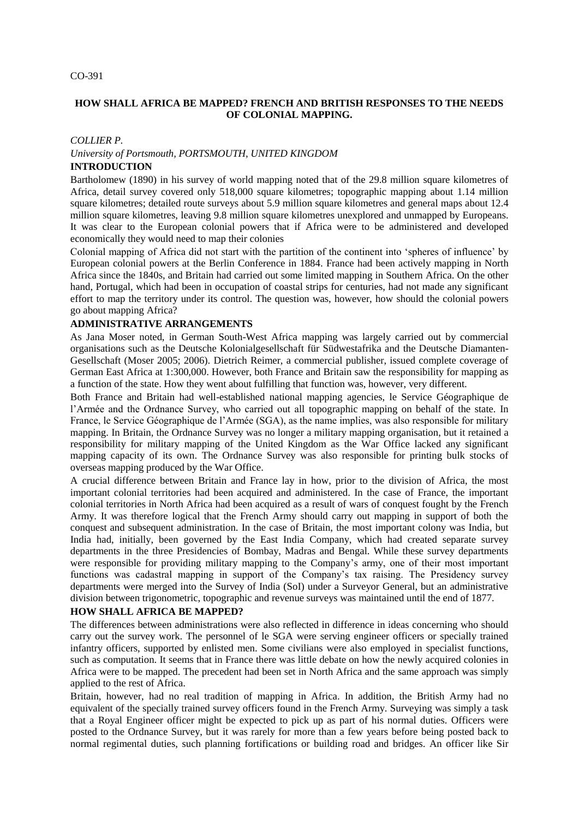## **HOW SHALL AFRICA BE MAPPED? FRENCH AND BRITISH RESPONSES TO THE NEEDS OF COLONIAL MAPPING.**

### *COLLIER P. University of Portsmouth, PORTSMOUTH, UNITED KINGDOM*

#### **INTRODUCTION**

Bartholomew (1890) in his survey of world mapping noted that of the 29.8 million square kilometres of Africa, detail survey covered only 518,000 square kilometres; topographic mapping about 1.14 million square kilometres; detailed route surveys about 5.9 million square kilometres and general maps about 12.4 million square kilometres, leaving 9.8 million square kilometres unexplored and unmapped by Europeans. It was clear to the European colonial powers that if Africa were to be administered and developed economically they would need to map their colonies

Colonial mapping of Africa did not start with the partition of the continent into "spheres of influence" by European colonial powers at the Berlin Conference in 1884. France had been actively mapping in North Africa since the 1840s, and Britain had carried out some limited mapping in Southern Africa. On the other hand, Portugal, which had been in occupation of coastal strips for centuries, had not made any significant effort to map the territory under its control. The question was, however, how should the colonial powers go about mapping Africa?

## **ADMINISTRATIVE ARRANGEMENTS**

As Jana Moser noted, in German South-West Africa mapping was largely carried out by commercial organisations such as the Deutsche Kolonialgesellschaft für Südwestafrika and the Deutsche Diamanten-Gesellschaft (Moser 2005; 2006). Dietrich Reimer, a commercial publisher, issued complete coverage of German East Africa at 1:300,000. However, both France and Britain saw the responsibility for mapping as a function of the state. How they went about fulfilling that function was, however, very different.

Both France and Britain had well-established national mapping agencies, le Service Géographique de l"Armée and the Ordnance Survey, who carried out all topographic mapping on behalf of the state. In France, le Service Géographique de l"Armée (SGA), as the name implies, was also responsible for military mapping. In Britain, the Ordnance Survey was no longer a military mapping organisation, but it retained a responsibility for military mapping of the United Kingdom as the War Office lacked any significant mapping capacity of its own. The Ordnance Survey was also responsible for printing bulk stocks of overseas mapping produced by the War Office.

A crucial difference between Britain and France lay in how, prior to the division of Africa, the most important colonial territories had been acquired and administered. In the case of France, the important colonial territories in North Africa had been acquired as a result of wars of conquest fought by the French Army. It was therefore logical that the French Army should carry out mapping in support of both the conquest and subsequent administration. In the case of Britain, the most important colony was India, but India had, initially, been governed by the East India Company, which had created separate survey departments in the three Presidencies of Bombay, Madras and Bengal. While these survey departments were responsible for providing military mapping to the Company's army, one of their most important functions was cadastral mapping in support of the Company's tax raising. The Presidency survey departments were merged into the Survey of India (SoI) under a Surveyor General, but an administrative division between trigonometric, topographic and revenue surveys was maintained until the end of 1877.

## **HOW SHALL AFRICA BE MAPPED?**

The differences between administrations were also reflected in difference in ideas concerning who should carry out the survey work. The personnel of le SGA were serving engineer officers or specially trained infantry officers, supported by enlisted men. Some civilians were also employed in specialist functions, such as computation. It seems that in France there was little debate on how the newly acquired colonies in Africa were to be mapped. The precedent had been set in North Africa and the same approach was simply applied to the rest of Africa.

Britain, however, had no real tradition of mapping in Africa. In addition, the British Army had no equivalent of the specially trained survey officers found in the French Army. Surveying was simply a task that a Royal Engineer officer might be expected to pick up as part of his normal duties. Officers were posted to the Ordnance Survey, but it was rarely for more than a few years before being posted back to normal regimental duties, such planning fortifications or building road and bridges. An officer like Sir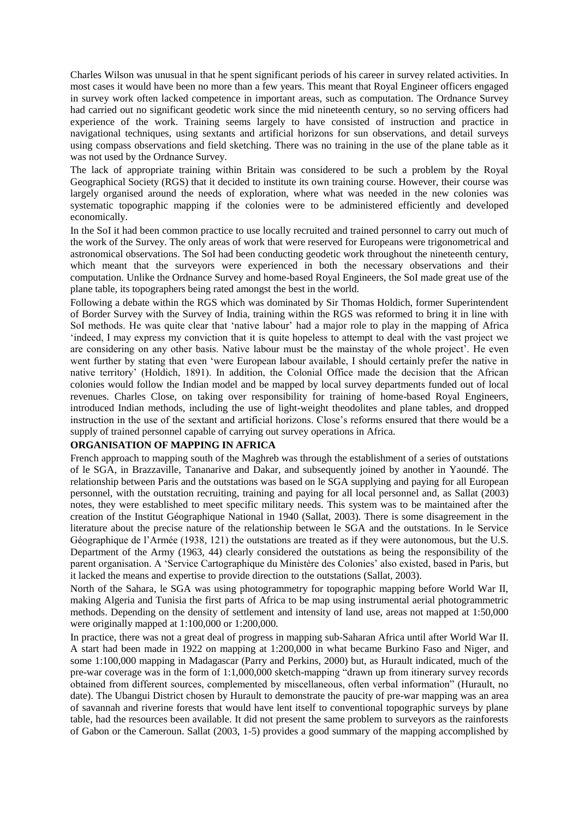Charles Wilson was unusual in that he spent significant periods of his career in survey related activities. In most cases it would have been no more than a few years. This meant that Royal Engineer officers engaged in survey work often lacked competence in important areas, such as computation. The Ordnance Survey had carried out no significant geodetic work since the mid nineteenth century, so no serving officers had experience of the work. Training seems largely to have consisted of instruction and practice in navigational techniques, using sextants and artificial horizons for sun observations, and detail surveys using compass observations and field sketching. There was no training in the use of the plane table as it was not used by the Ordnance Survey.

The lack of appropriate training within Britain was considered to be such a problem by the Royal Geographical Society (RGS) that it decided to institute its own training course. However, their course was largely organised around the needs of exploration, where what was needed in the new colonies was systematic topographic mapping if the colonies were to be administered efficiently and developed economically.

In the SoI it had been common practice to use locally recruited and trained personnel to carry out much of the work of the Survey. The only areas of work that were reserved for Europeans were trigonometrical and astronomical observations. The SoI had been conducting geodetic work throughout the nineteenth century, which meant that the surveyors were experienced in both the necessary observations and their computation. Unlike the Ordnance Survey and home-based Royal Engineers, the SoI made great use of the plane table, its topographers being rated amongst the best in the world.

Following a debate within the RGS which was dominated by Sir Thomas Holdich, former Superintendent of Border Survey with the Survey of India, training within the RGS was reformed to bring it in line with SoI methods. He was quite clear that "native labour" had a major role to play in the mapping of Africa "indeed, I may express my conviction that it is quite hopeless to attempt to deal with the vast project we are considering on any other basis. Native labour must be the mainstay of the whole project'. He even went further by stating that even "were European labour available, I should certainly prefer the native in native territory" (Holdich, 1891). In addition, the Colonial Office made the decision that the African colonies would follow the Indian model and be mapped by local survey departments funded out of local revenues. Charles Close, on taking over responsibility for training of home-based Royal Engineers, introduced Indian methods, including the use of light-weight theodolites and plane tables, and dropped instruction in the use of the sextant and artificial horizons. Close"s reforms ensured that there would be a supply of trained personnel capable of carrying out survey operations in Africa.

#### **ORGANISATION OF MAPPING IN AFRICA**

French approach to mapping south of the Maghreb was through the establishment of a series of outstations of le SGA, in Brazzaville, Tananarive and Dakar, and subsequently joined by another in Yaoundé. The relationship between Paris and the outstations was based on le SGA supplying and paying for all European personnel, with the outstation recruiting, training and paying for all local personnel and, as Sallat (2003) notes, they were established to meet specific military needs. This system was to be maintained after the creation of the Institut Géographique National in 1940 (Sallat, 2003). There is some disagreement in the literature about the precise nature of the relationship between le SGA and the outstations. In le Service Géographique de l"Armée (1938, 121) the outstations are treated as if they were autonomous, but the U.S. Department of the Army (1963, 44) clearly considered the outstations as being the responsibility of the parent organisation. A "Service Cartographique du Ministère des Colonies" also existed, based in Paris, but it lacked the means and expertise to provide direction to the outstations (Sallat, 2003).

North of the Sahara, le SGA was using photogrammetry for topographic mapping before World War II, making Algeria and Tunisia the first parts of Africa to be map using instrumental aerial photogrammetric methods. Depending on the density of settlement and intensity of land use, areas not mapped at 1:50,000 were originally mapped at 1:100,000 or 1:200,000.

In practice, there was not a great deal of progress in mapping sub-Saharan Africa until after World War II. A start had been made in 1922 on mapping at 1:200,000 in what became Burkino Faso and Niger, and some 1:100,000 mapping in Madagascar (Parry and Perkins, 2000) but, as Hurault indicated, much of the pre-war coverage was in the form of 1:1,000,000 sketch-mapping "drawn up from itinerary survey records obtained from different sources, complemented by miscellaneous, often verbal information" (Hurault, no date). The Ubangui District chosen by Hurault to demonstrate the paucity of pre-war mapping was an area of savannah and riverine forests that would have lent itself to conventional topographic surveys by plane table, had the resources been available. It did not present the same problem to surveyors as the rainforests of Gabon or the Cameroun. Sallat (2003, 1-5) provides a good summary of the mapping accomplished by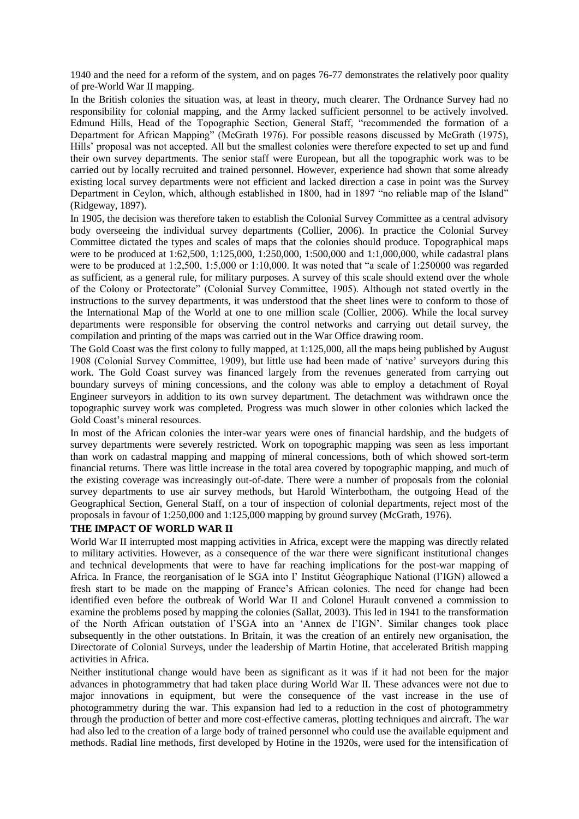1940 and the need for a reform of the system, and on pages 76-77 demonstrates the relatively poor quality of pre-World War II mapping.

In the British colonies the situation was, at least in theory, much clearer. The Ordnance Survey had no responsibility for colonial mapping, and the Army lacked sufficient personnel to be actively involved. Edmund Hills, Head of the Topographic Section, General Staff, "recommended the formation of a Department for African Mapping" (McGrath 1976). For possible reasons discussed by McGrath (1975), Hills" proposal was not accepted. All but the smallest colonies were therefore expected to set up and fund their own survey departments. The senior staff were European, but all the topographic work was to be carried out by locally recruited and trained personnel. However, experience had shown that some already existing local survey departments were not efficient and lacked direction a case in point was the Survey Department in Ceylon, which, although established in 1800, had in 1897 "no reliable map of the Island" (Ridgeway, 1897).

In 1905, the decision was therefore taken to establish the Colonial Survey Committee as a central advisory body overseeing the individual survey departments (Collier, 2006). In practice the Colonial Survey Committee dictated the types and scales of maps that the colonies should produce. Topographical maps were to be produced at 1:62,500, 1:125,000, 1:250,000, 1:500,000 and 1:1,000,000, while cadastral plans were to be produced at 1:2,500, 1:5,000 or 1:10,000. It was noted that "a scale of 1:250000 was regarded as sufficient, as a general rule, for military purposes. A survey of this scale should extend over the whole of the Colony or Protectorate" (Colonial Survey Committee, 1905). Although not stated overtly in the instructions to the survey departments, it was understood that the sheet lines were to conform to those of the International Map of the World at one to one million scale (Collier, 2006). While the local survey departments were responsible for observing the control networks and carrying out detail survey, the compilation and printing of the maps was carried out in the War Office drawing room.

The Gold Coast was the first colony to fully mapped, at 1:125,000, all the maps being published by August 1908 (Colonial Survey Committee, 1909), but little use had been made of "native" surveyors during this work. The Gold Coast survey was financed largely from the revenues generated from carrying out boundary surveys of mining concessions, and the colony was able to employ a detachment of Royal Engineer surveyors in addition to its own survey department. The detachment was withdrawn once the topographic survey work was completed. Progress was much slower in other colonies which lacked the Gold Coast's mineral resources.

In most of the African colonies the inter-war years were ones of financial hardship, and the budgets of survey departments were severely restricted. Work on topographic mapping was seen as less important than work on cadastral mapping and mapping of mineral concessions, both of which showed sort-term financial returns. There was little increase in the total area covered by topographic mapping, and much of the existing coverage was increasingly out-of-date. There were a number of proposals from the colonial survey departments to use air survey methods, but Harold Winterbotham, the outgoing Head of the Geographical Section, General Staff, on a tour of inspection of colonial departments, reject most of the proposals in favour of 1:250,000 and 1:125,000 mapping by ground survey (McGrath, 1976).

# **THE IMPACT OF WORLD WAR II**

World War II interrupted most mapping activities in Africa, except were the mapping was directly related to military activities. However, as a consequence of the war there were significant institutional changes and technical developments that were to have far reaching implications for the post-war mapping of Africa. In France, the reorganisation of le SGA into l" Institut Géographique National (l"IGN) allowed a fresh start to be made on the mapping of France"s African colonies. The need for change had been identified even before the outbreak of World War II and Colonel Hurault convened a commission to examine the problems posed by mapping the colonies (Sallat, 2003). This led in 1941 to the transformation of the North African outstation of l"SGA into an "Annex de l"IGN". Similar changes took place subsequently in the other outstations. In Britain, it was the creation of an entirely new organisation, the Directorate of Colonial Surveys, under the leadership of Martin Hotine, that accelerated British mapping activities in Africa.

Neither institutional change would have been as significant as it was if it had not been for the major advances in photogrammetry that had taken place during World War II. These advances were not due to major innovations in equipment, but were the consequence of the vast increase in the use of photogrammetry during the war. This expansion had led to a reduction in the cost of photogrammetry through the production of better and more cost-effective cameras, plotting techniques and aircraft. The war had also led to the creation of a large body of trained personnel who could use the available equipment and methods. Radial line methods, first developed by Hotine in the 1920s, were used for the intensification of